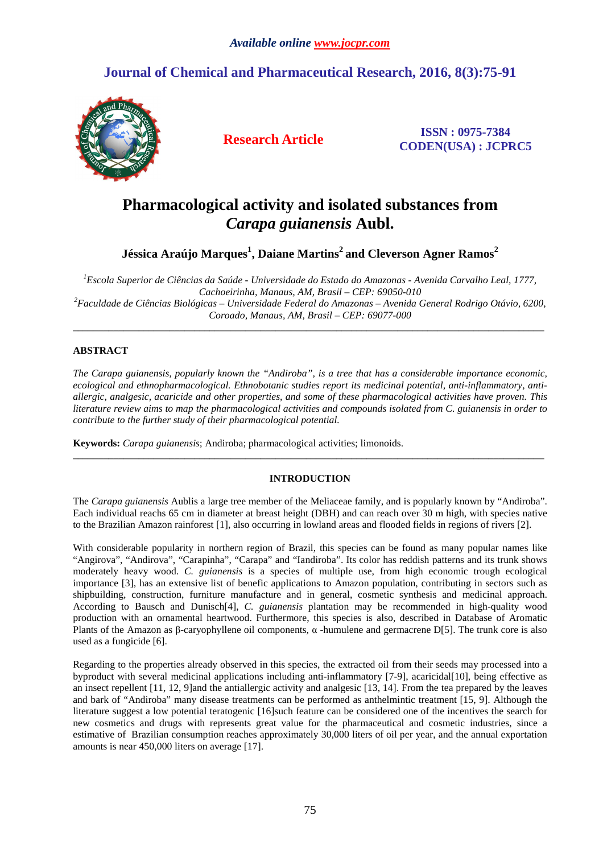## **Journal of Chemical and Pharmaceutical Research, 2016, 8(3):75-91**



**Research Article ISSN : 0975-7384 CODEN(USA) : JCPRC5**

# **Pharmacological activity and isolated substances from**  *Carapa guianensis* **Aubl.**

**Jéssica Araújo Marques<sup>1</sup> , Daiane Martins<sup>2</sup>and Cleverson Agner Ramos<sup>2</sup>**

*<sup>1</sup>Escola Superior de Ciências da Saúde - Universidade do Estado do Amazonas - Avenida Carvalho Leal, 1777, Cachoeirinha, Manaus, AM, Brasil – CEP: 69050-010 <sup>2</sup>Faculdade de Ciências Biológicas – Universidade Federal do Amazonas – Avenida General Rodrigo Otávio, 6200, Coroado, Manaus, AM, Brasil – CEP: 69077-000* 

\_\_\_\_\_\_\_\_\_\_\_\_\_\_\_\_\_\_\_\_\_\_\_\_\_\_\_\_\_\_\_\_\_\_\_\_\_\_\_\_\_\_\_\_\_\_\_\_\_\_\_\_\_\_\_\_\_\_\_\_\_\_\_\_\_\_\_\_\_\_\_\_\_\_\_\_\_\_\_\_\_\_\_\_\_\_\_\_\_\_\_\_\_

### **ABSTRACT**

*The Carapa guianensis, popularly known the "Andiroba", is a tree that has a considerable importance economic, ecological and ethnopharmacological. Ethnobotanic studies report its medicinal potential, anti-inflammatory, antiallergic, analgesic, acaricide and other properties, and some of these pharmacological activities have proven. This literature review aims to map the pharmacological activities and compounds isolated from C. guianensis in order to contribute to the further study of their pharmacological potential.* 

**Keywords:** *Carapa guianensis*; Andiroba; pharmacological activities; limonoids.

#### **INTRODUCTION**

\_\_\_\_\_\_\_\_\_\_\_\_\_\_\_\_\_\_\_\_\_\_\_\_\_\_\_\_\_\_\_\_\_\_\_\_\_\_\_\_\_\_\_\_\_\_\_\_\_\_\_\_\_\_\_\_\_\_\_\_\_\_\_\_\_\_\_\_\_\_\_\_\_\_\_\_\_\_\_\_\_\_\_\_\_\_\_\_\_\_\_\_\_

The *Carapa guianensis* Aublis a large tree member of the Meliaceae family, and is popularly known by "Andiroba". Each individual reachs 65 cm in diameter at breast height (DBH) and can reach over 30 m high, with species native to the Brazilian Amazon rainforest [1], also occurring in lowland areas and flooded fields in regions of rivers [2].

With considerable popularity in northern region of Brazil, this species can be found as many popular names like "Angirova", "Andirova", "Carapinha", "Carapa" and "Iandiroba". Its color has reddish patterns and its trunk shows moderately heavy wood. *C. guianensis* is a species of multiple use, from high economic trough ecological importance [3], has an extensive list of benefic applications to Amazon population, contributing in sectors such as shipbuilding, construction, furniture manufacture and in general, cosmetic synthesis and medicinal approach. According to Bausch and Dunisch[4], *C. guianensis* plantation may be recommended in high-quality wood production with an ornamental heartwood. Furthermore, this species is also, described in Database of Aromatic Plants of the Amazon as β-caryophyllene oil components, α -humulene and germacrene D[5]. The trunk core is also used as a fungicide [6].

Regarding to the properties already observed in this species, the extracted oil from their seeds may processed into a byproduct with several medicinal applications including anti-inflammatory [7-9], acaricidal[10], being effective as an insect repellent [11, 12, 9]and the antiallergic activity and analgesic [13, 14]. From the tea prepared by the leaves and bark of "Andiroba" many disease treatments can be performed as anthelmintic treatment [15, 9]. Although the literature suggest a low potential teratogenic [16]such feature can be considered one of the incentives the search for new cosmetics and drugs with represents great value for the pharmaceutical and cosmetic industries, since a estimative of Brazilian consumption reaches approximately 30,000 liters of oil per year, and the annual exportation amounts is near 450,000 liters on average [17].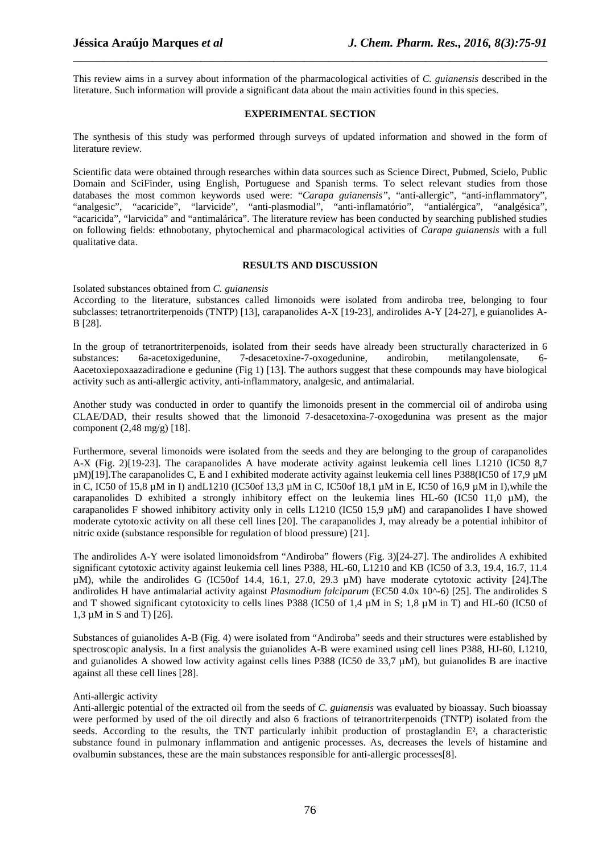This review aims in a survey about information of the pharmacological activities of *C. guianensis* described in the literature. Such information will provide a significant data about the main activities found in this species.

\_\_\_\_\_\_\_\_\_\_\_\_\_\_\_\_\_\_\_\_\_\_\_\_\_\_\_\_\_\_\_\_\_\_\_\_\_\_\_\_\_\_\_\_\_\_\_\_\_\_\_\_\_\_\_\_\_\_\_\_\_\_\_\_\_\_\_\_\_\_\_\_\_\_\_\_\_\_

#### **EXPERIMENTAL SECTION**

The synthesis of this study was performed through surveys of updated information and showed in the form of literature review.

Scientific data were obtained through researches within data sources such as Science Direct, Pubmed, Scielo, Public Domain and SciFinder, using English, Portuguese and Spanish terms. To select relevant studies from those databases the most common keywords used were: "*Carapa guianensis"*, "anti-allergic", "anti-inflammatory", "analgesic", "acaricide", "larvicide", "anti-plasmodial", "anti-inflamatório", "antialérgica", "analgésica", "acaricida", "larvicida" and "antimalárica". The literature review has been conducted by searching published studies on following fields: ethnobotany, phytochemical and pharmacological activities of *Carapa guianensis* with a full qualitative data.

#### **RESULTS AND DISCUSSION**

Isolated substances obtained from *C. guianensis*

According to the literature, substances called limonoids were isolated from andiroba tree, belonging to four subclasses: tetranortriterpenoids (TNTP) [13], carapanolides A-X [19-23], andirolides A-Y [24-27], e guianolides A-B [28].

In the group of tetranortriterpenoids, isolated from their seeds have already been structurally characterized in 6 substances: 6a-acetoxigedunine, 7-desacetoxine-7-oxogedunine, andirobin, metilangolensate, 6- Aacetoxiepoxaazadiradione e gedunine (Fig 1) [13]. The authors suggest that these compounds may have biological activity such as anti-allergic activity, anti-inflammatory, analgesic, and antimalarial.

Another study was conducted in order to quantify the limonoids present in the commercial oil of andiroba using CLAE/DAD, their results showed that the limonoid 7-desacetoxina-7-oxogedunina was present as the major component (2,48 mg/g) [18].

Furthermore, several limonoids were isolated from the seeds and they are belonging to the group of carapanolides A-X (Fig. 2)[19-23]. The carapanolides A have moderate activity against leukemia cell lines L1210 (IC50 8,7 µM)[19].The carapanolides C, E and I exhibited moderate activity against leukemia cell lines P388(IC50 of 17,9 µM in C, IC50 of 15,8 µM in I) andL1210 (IC50of 13,3 µM in C, IC50of 18,1 µM in E, IC50 of 16,9 µM in I),while the carapanolides D exhibited a strongly inhibitory effect on the leukemia lines HL-60 (IC50 11,0 µM), the carapanolides F showed inhibitory activity only in cells L1210 (IC50 15,9 µM) and carapanolides I have showed moderate cytotoxic activity on all these cell lines [20]. The carapanolides J, may already be a potential inhibitor of nitric oxide (substance responsible for regulation of blood pressure) [21].

The andirolides A-Y were isolated limonoidsfrom "Andiroba" flowers (Fig. 3)[24-27]. The andirolides A exhibited significant cytotoxic activity against leukemia cell lines P388, HL-60, L1210 and KB (IC50 of 3.3, 19.4, 16.7, 11.4 µM), while the andirolides G (IC50of 14.4, 16.1, 27.0, 29.3 µM) have moderate cytotoxic activity [24]. The andirolides H have antimalarial activity against *Plasmodium falciparum* (EC50 4.0x 10^-6) [25]. The andirolides S and T showed significant cytotoxicity to cells lines P388 (IC50 of 1,4  $\mu$ M in S; 1,8  $\mu$ M in T) and HL-60 (IC50 of 1,3 µM in S and T) [26].

Substances of guianolides A-B (Fig. 4) were isolated from "Andiroba" seeds and their structures were established by spectroscopic analysis. In a first analysis the guianolides A-B were examined using cell lines P388, HJ-60, L1210, and guianolides A showed low activity against cells lines P388 (IC50 de 33,7  $\mu$ M), but guianolides B are inactive against all these cell lines [28].

#### Anti-allergic activity

Anti-allergic potential of the extracted oil from the seeds of *C. guianensis* was evaluated by bioassay. Such bioassay were performed by used of the oil directly and also 6 fractions of tetranortriterpenoids (TNTP) isolated from the seeds. According to the results, the TNT particularly inhibit production of prostaglandin E², a characteristic substance found in pulmonary inflammation and antigenic processes. As, decreases the levels of histamine and ovalbumin substances, these are the main substances responsible for anti-allergic processes[8].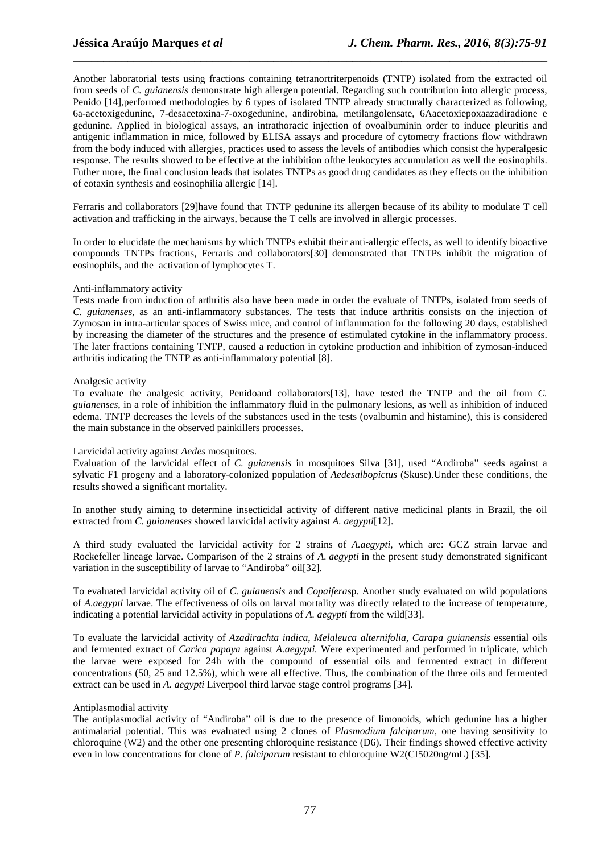Another laboratorial tests using fractions containing tetranortriterpenoids (TNTP) isolated from the extracted oil from seeds of *C. guianensis* demonstrate high allergen potential. Regarding such contribution into allergic process, Penido [14],performed methodologies by 6 types of isolated TNTP already structurally characterized as following, 6a-acetoxigedunine, 7-desacetoxina-7-oxogedunine, andirobina, metilangolensate, 6Aacetoxiepoxaazadiradione e gedunine. Applied in biological assays, an intrathoracic injection of ovoalbuminin order to induce pleuritis and antigenic inflammation in mice, followed by ELISA assays and procedure of cytometry fractions flow withdrawn from the body induced with allergies, practices used to assess the levels of antibodies which consist the hyperalgesic response. The results showed to be effective at the inhibition ofthe leukocytes accumulation as well the eosinophils. Futher more, the final conclusion leads that isolates TNTPs as good drug candidates as they effects on the inhibition of eotaxin synthesis and eosinophilia allergic [14].

\_\_\_\_\_\_\_\_\_\_\_\_\_\_\_\_\_\_\_\_\_\_\_\_\_\_\_\_\_\_\_\_\_\_\_\_\_\_\_\_\_\_\_\_\_\_\_\_\_\_\_\_\_\_\_\_\_\_\_\_\_\_\_\_\_\_\_\_\_\_\_\_\_\_\_\_\_\_

Ferraris and collaborators [29]have found that TNTP gedunine its allergen because of its ability to modulate T cell activation and trafficking in the airways, because the T cells are involved in allergic processes.

In order to elucidate the mechanisms by which TNTPs exhibit their anti-allergic effects, as well to identify bioactive compounds TNTPs fractions, Ferraris and collaborators[30] demonstrated that TNTPs inhibit the migration of eosinophils, and the activation of lymphocytes T.

#### Anti-inflammatory activity

Tests made from induction of arthritis also have been made in order the evaluate of TNTPs, isolated from seeds of *C. guianenses*, as an anti-inflammatory substances. The tests that induce arthritis consists on the injection of Zymosan in intra-articular spaces of Swiss mice, and control of inflammation for the following 20 days, established by increasing the diameter of the structures and the presence of estimulated cytokine in the inflammatory process. The later fractions containing TNTP, caused a reduction in cytokine production and inhibition of zymosan-induced arthritis indicating the TNTP as anti-inflammatory potential [8].

#### Analgesic activity

To evaluate the analgesic activity, Penidoand collaborators[13], have tested the TNTP and the oil from *C. guianenses*, in a role of inhibition the inflammatory fluid in the pulmonary lesions, as well as inhibition of induced edema. TNTP decreases the levels of the substances used in the tests (ovalbumin and histamine), this is considered the main substance in the observed painkillers processes.

#### Larvicidal activity against *Aedes* mosquitoes.

Evaluation of the larvicidal effect of *C. guianensis* in mosquitoes Silva [31], used "Andiroba" seeds against a sylvatic F1 progeny and a laboratory-colonized population of *Aedesalbopictus* (Skuse).Under these conditions, the results showed a significant mortality.

In another study aiming to determine insecticidal activity of different native medicinal plants in Brazil, the oil extracted from *C. guianenses* showed larvicidal activity against *A. aegypti*[12].

A third study evaluated the larvicidal activity for 2 strains of *A.aegypti*, which are: GCZ strain larvae and Rockefeller lineage larvae. Comparison of the 2 strains of *A. aegypti* in the present study demonstrated significant variation in the susceptibility of larvae to "Andiroba" oil[32].

To evaluated larvicidal activity oil of *C. guianensis* and *Copaifera*sp. Another study evaluated on wild populations of *A.aegypti* larvae. The effectiveness of oils on larval mortality was directly related to the increase of temperature, indicating a potential larvicidal activity in populations of *A. aegypti* from the wild[33].

To evaluate the larvicidal activity of *Azadirachta indica*, *Melaleuca alternifolia*, *Carapa guianensis* essential oils and fermented extract of *Carica papaya* against *A.aegypti.* Were experimented and performed in triplicate, which the larvae were exposed for 24h with the compound of essential oils and fermented extract in different concentrations (50, 25 and 12.5%), which were all effective. Thus, the combination of the three oils and fermented extract can be used in *A. aegypti* Liverpool third larvae stage control programs [34].

#### Antiplasmodial activity

The antiplasmodial activity of "Andiroba" oil is due to the presence of limonoids, which gedunine has a higher antimalarial potential. This was evaluated using 2 clones of *Plasmodium falciparum*, one having sensitivity to chloroquine (W2) and the other one presenting chloroquine resistance (D6). Their findings showed effective activity even in low concentrations for clone of *P. falciparum* resistant to chloroquine W2(CI5020ng/mL) [35].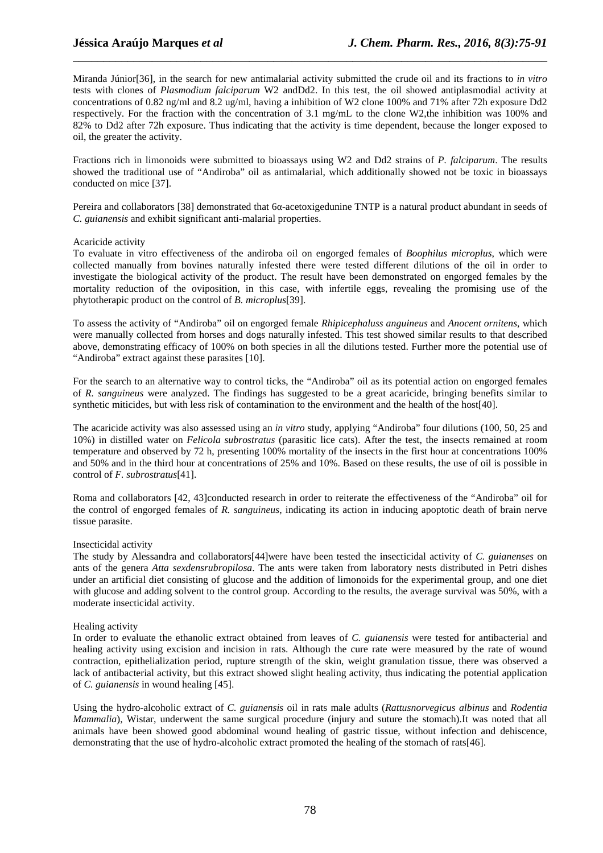Miranda Júnior[36], in the search for new antimalarial activity submitted the crude oil and its fractions to *in vitro* tests with clones of *Plasmodium falciparum* W2 andDd2. In this test, the oil showed antiplasmodial activity at concentrations of 0.82 ng/ml and 8.2 ug/ml, having a inhibition of W2 clone 100% and 71% after 72h exposure Dd2 respectively. For the fraction with the concentration of 3.1 mg/mL to the clone W2,the inhibition was 100% and 82% to Dd2 after 72h exposure. Thus indicating that the activity is time dependent, because the longer exposed to oil, the greater the activity.

\_\_\_\_\_\_\_\_\_\_\_\_\_\_\_\_\_\_\_\_\_\_\_\_\_\_\_\_\_\_\_\_\_\_\_\_\_\_\_\_\_\_\_\_\_\_\_\_\_\_\_\_\_\_\_\_\_\_\_\_\_\_\_\_\_\_\_\_\_\_\_\_\_\_\_\_\_\_

Fractions rich in limonoids were submitted to bioassays using W2 and Dd2 strains of *P. falciparum*. The results showed the traditional use of "Andiroba" oil as antimalarial, which additionally showed not be toxic in bioassays conducted on mice [37].

Pereira and collaborators [38] demonstrated that 6α-acetoxigedunine TNTP is a natural product abundant in seeds of *C. guianensis* and exhibit significant anti-malarial properties.

#### Acaricide activity

To evaluate in vitro effectiveness of the andiroba oil on engorged females of *Boophilus microplus*, which were collected manually from bovines naturally infested there were tested different dilutions of the oil in order to investigate the biological activity of the product. The result have been demonstrated on engorged females by the mortality reduction of the oviposition, in this case, with infertile eggs, revealing the promising use of the phytotherapic product on the control of *B. microplus*[39].

To assess the activity of "Andiroba" oil on engorged female *Rhipicephaluss anguineus* and *Anocent ornitens*, which were manually collected from horses and dogs naturally infested. This test showed similar results to that described above, demonstrating efficacy of 100% on both species in all the dilutions tested. Further more the potential use of "Andiroba" extract against these parasites [10].

For the search to an alternative way to control ticks, the "Andiroba" oil as its potential action on engorged females of *R. sanguineus* were analyzed. The findings has suggested to be a great acaricide, bringing benefits similar to synthetic miticides, but with less risk of contamination to the environment and the health of the host[40].

The acaricide activity was also assessed using an *in vitro* study, applying "Andiroba" four dilutions (100, 50, 25 and 10%) in distilled water on *Felicola subrostratus* (parasitic lice cats). After the test, the insects remained at room temperature and observed by 72 h, presenting 100% mortality of the insects in the first hour at concentrations 100% and 50% and in the third hour at concentrations of 25% and 10%. Based on these results, the use of oil is possible in control of *F. subrostratus*[41].

Roma and collaborators [42, 43]conducted research in order to reiterate the effectiveness of the "Andiroba" oil for the control of engorged females of *R. sanguineus*, indicating its action in inducing apoptotic death of brain nerve tissue parasite.

#### Insecticidal activity

The study by Alessandra and collaborators[44]were have been tested the insecticidal activity of *C. guianenses* on ants of the genera *Atta sexdensrubropilosa*. The ants were taken from laboratory nests distributed in Petri dishes under an artificial diet consisting of glucose and the addition of limonoids for the experimental group, and one diet with glucose and adding solvent to the control group. According to the results, the average survival was 50%, with a moderate insecticidal activity.

#### Healing activity

In order to evaluate the ethanolic extract obtained from leaves of *C. guianensis* were tested for antibacterial and healing activity using excision and incision in rats. Although the cure rate were measured by the rate of wound contraction, epithelialization period, rupture strength of the skin, weight granulation tissue, there was observed a lack of antibacterial activity, but this extract showed slight healing activity, thus indicating the potential application of *C. guianensis* in wound healing [45].

Using the hydro-alcoholic extract of *C. guianensis* oil in rats male adults (*Rattusnorvegicus albinus* and *Rodentia Mammalia*), Wistar, underwent the same surgical procedure (injury and suture the stomach).It was noted that all animals have been showed good abdominal wound healing of gastric tissue, without infection and dehiscence, demonstrating that the use of hydro-alcoholic extract promoted the healing of the stomach of rats[46].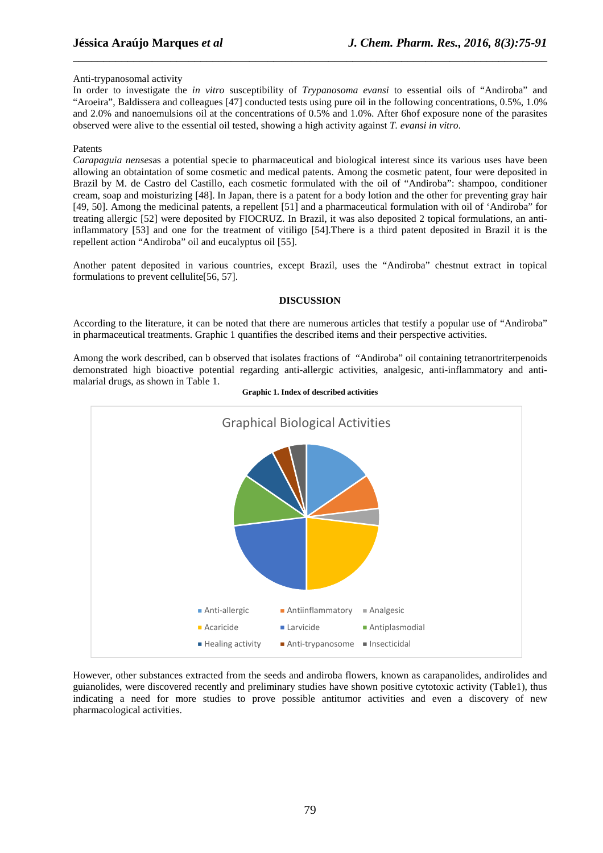#### Anti-trypanosomal activity

In order to investigate the *in vitro* susceptibility of *Trypanosoma evansi* to essential oils of "Andiroba" and "Aroeira", Baldissera and colleagues [47] conducted tests using pure oil in the following concentrations, 0.5%, 1.0% and 2.0% and nanoemulsions oil at the concentrations of 0.5% and 1.0%. After 6hof exposure none of the parasites observed were alive to the essential oil tested, showing a high activity against *T. evansi in vitro*.

\_\_\_\_\_\_\_\_\_\_\_\_\_\_\_\_\_\_\_\_\_\_\_\_\_\_\_\_\_\_\_\_\_\_\_\_\_\_\_\_\_\_\_\_\_\_\_\_\_\_\_\_\_\_\_\_\_\_\_\_\_\_\_\_\_\_\_\_\_\_\_\_\_\_\_\_\_\_

#### Patents

*Carapaguia nenses*as a potential specie to pharmaceutical and biological interest since its various uses have been allowing an obtaintation of some cosmetic and medical patents. Among the cosmetic patent, four were deposited in Brazil by M. de Castro del Castillo, each cosmetic formulated with the oil of "Andiroba": shampoo, conditioner cream, soap and moisturizing [48]. In Japan, there is a patent for a body lotion and the other for preventing gray hair [49, 50]. Among the medicinal patents, a repellent [51] and a pharmaceutical formulation with oil of 'Andiroba" for treating allergic [52] were deposited by FIOCRUZ. In Brazil, it was also deposited 2 topical formulations, an antiinflammatory [53] and one for the treatment of vitiligo [54].There is a third patent deposited in Brazil it is the repellent action "Andiroba" oil and eucalyptus oil [55].

Another patent deposited in various countries, except Brazil, uses the "Andiroba" chestnut extract in topical formulations to prevent cellulite[56, 57].

#### **DISCUSSION**

According to the literature, it can be noted that there are numerous articles that testify a popular use of "Andiroba" in pharmaceutical treatments. Graphic 1 quantifies the described items and their perspective activities.

Among the work described, can b observed that isolates fractions of "Andiroba" oil containing tetranortriterpenoids demonstrated high bioactive potential regarding anti-allergic activities, analgesic, anti-inflammatory and antimalarial drugs, as shown in Table 1.



**Graphic 1. Index of described activities** 

However, other substances extracted from the seeds and andiroba flowers, known as carapanolides, andirolides and guianolides, were discovered recently and preliminary studies have shown positive cytotoxic activity (Table1), thus indicating a need for more studies to prove possible antitumor activities and even a discovery of new pharmacological activities.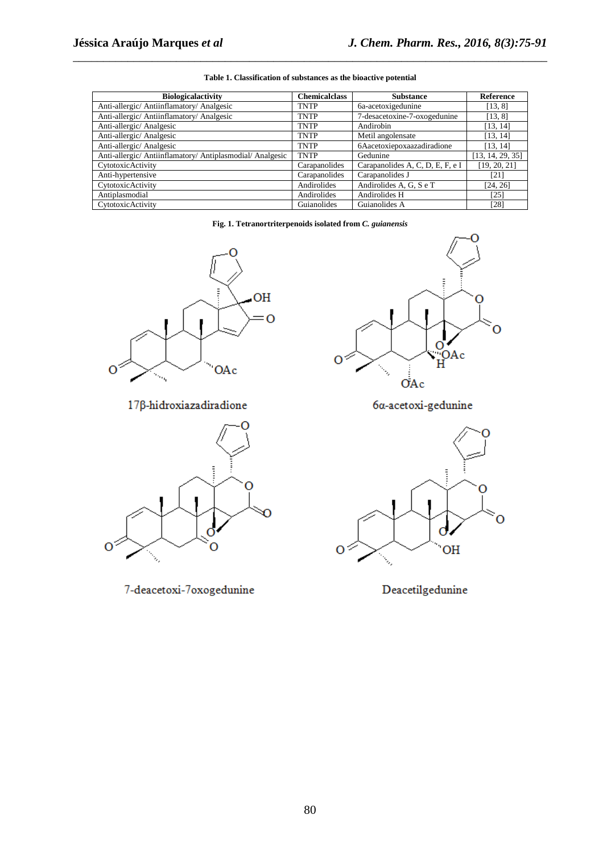| <b>Biologicalactivity</b>                              | <b>Chemicalclass</b> | <b>Substance</b>                 | Reference        |
|--------------------------------------------------------|----------------------|----------------------------------|------------------|
| Anti-allergic/ Antiinflamatory/ Analgesic              | <b>TNTP</b>          | 6a-acetoxigedunine               | [13, 8]          |
| Anti-allergic/Antiinflamatory/Analgesic                | <b>TNTP</b>          | 7-desacetoxine-7-oxogedunine     | [13, 8]          |
| Anti-allergic/Analgesic                                | <b>TNTP</b>          | Andirobin                        | [13, 14]         |
| Anti-allergic/Analgesic                                | <b>TNTP</b>          | Metil angolensate                | [13, 14]         |
| Anti-allergic/Analgesic                                | <b>TNTP</b>          | 6Aacetoxiepoxaazadiradione       | [13, 14]         |
| Anti-allergic/Antiinflamatory/Antiplasmodial/Analgesic | <b>TNTP</b>          | Gedunine                         | [13, 14, 29, 35] |
| CytotoxicActivity                                      | Carapanolides        | Carapanolides A, C, D, E, F, e I | [19, 20, 21]     |
| Anti-hypertensive                                      | Carapanolides        | Carapanolides J                  | [21]             |
| CytotoxicActivity                                      | Andirolides          | Andirolides A, G, S e T          | [24, 26]         |
| Antiplasmodial                                         | Andirolides          | Andirolides H                    | [25]             |
| CytotoxicActivity                                      | Guianolides          | Guianolides A                    | [28]             |







 $17\beta$ -hidroxiazadiradione



7-deacetoxi-7oxogedunine



6α-acetoxi-gedunine



Deacetilgedunine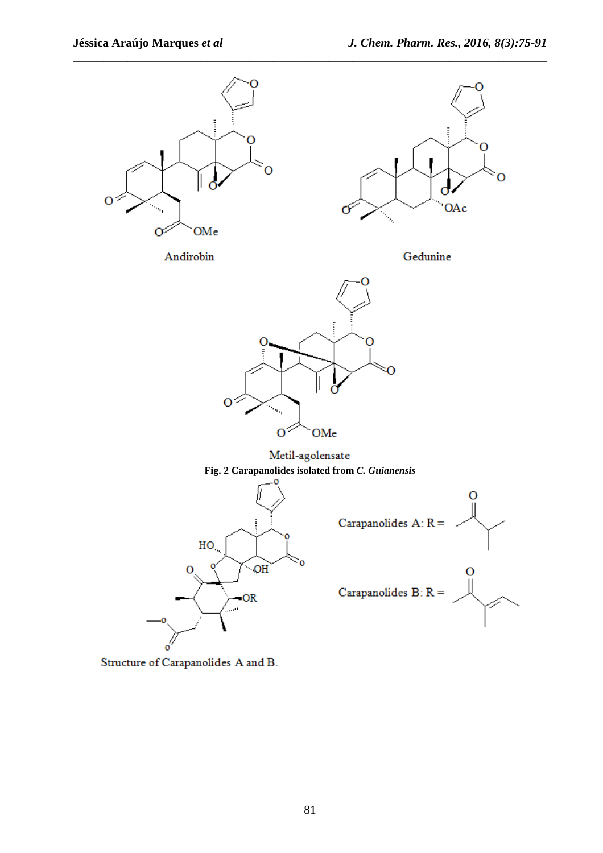

Structure of Carapanolides A and B.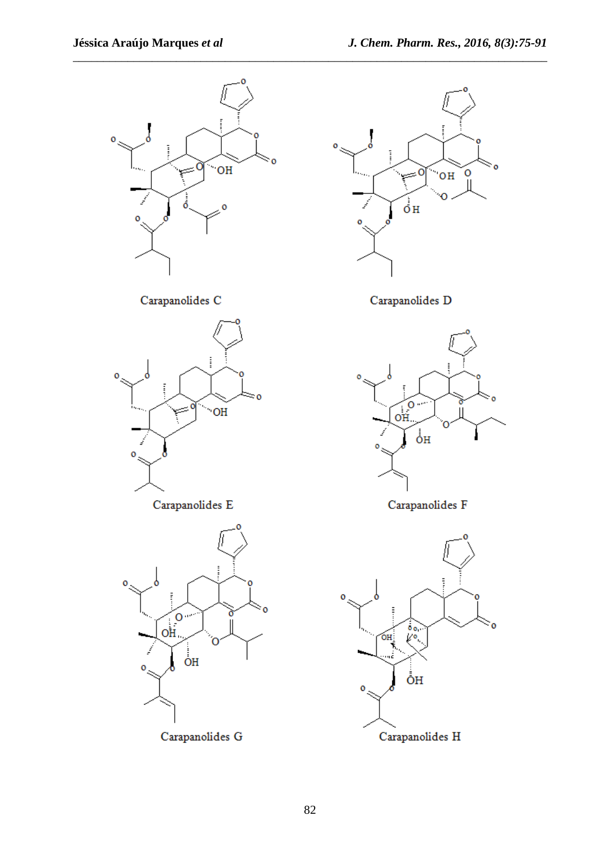



Carapanolides D



Carapanolides F

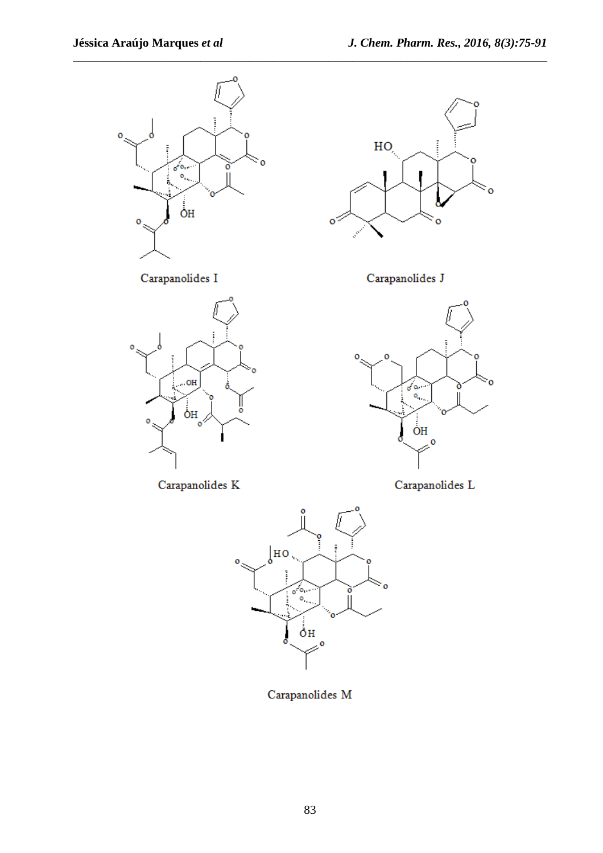





Carapanolides K



Carapanolides J







Carapanolides M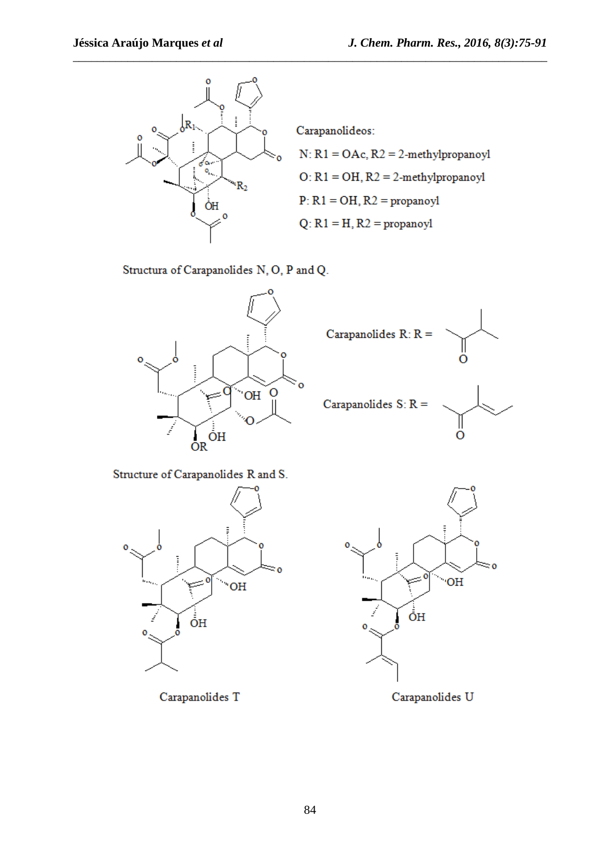

Carapanolideos:

\_\_\_\_\_\_\_\_\_\_\_\_\_\_\_\_\_\_\_\_\_\_\_\_\_\_\_\_\_\_\_\_\_\_\_\_\_\_\_\_\_\_\_\_\_\_\_\_\_\_\_\_\_\_\_\_\_\_\_\_\_\_\_\_\_\_\_\_\_\_\_\_\_\_\_\_\_\_

 $N: R1 = OAc, R2 = 2-methylpropanoyl$  $O: R1 = OH, R2 = 2-methylpropanoyl$  $P: R1 = OH, R2 = propanoyl$  $Q: R1 = H, R2 = propanoyl$ 

Structura of Carapanolides N, O, P and Q.





Structure of Carapanolides R and S.





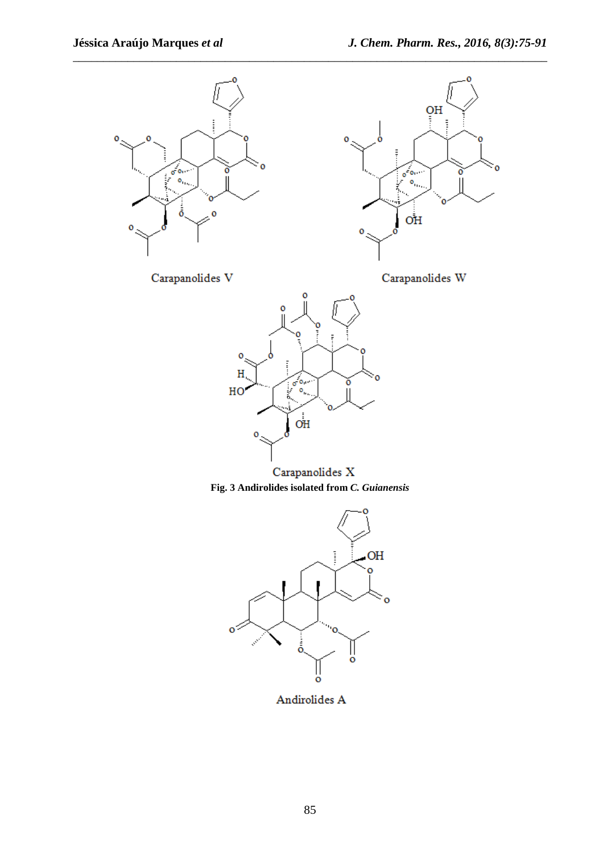

Andirolides A

ö

ll<br>o

.<br>o

 $\overline{O}$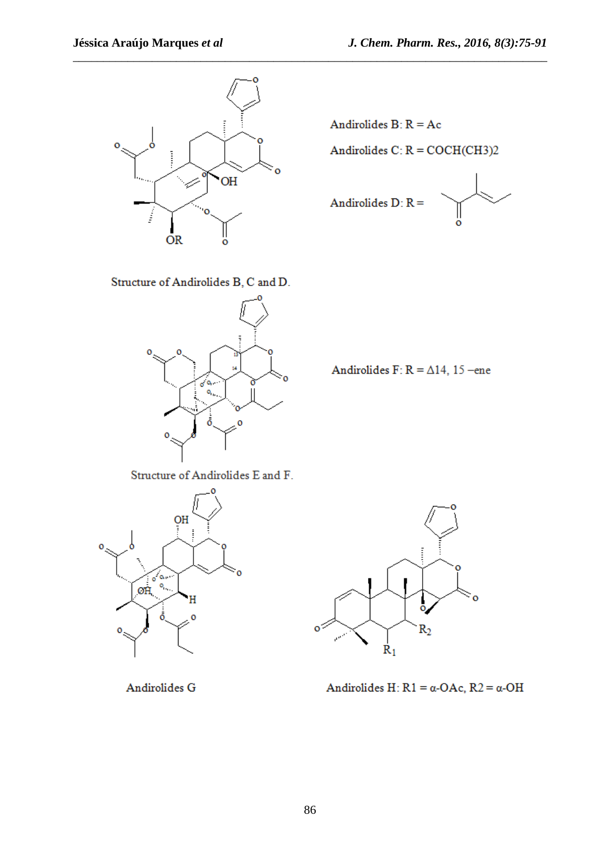

Andirolides  $B: R = Ac$ 

Andirolides  $C: R = COCH(CH3)2$ 



Structure of Andirolides B, C and D.



Andirolides F:  $R = \Delta 14$ , 15 - ene

Structure of Andirolides E and F.





Andirolides G

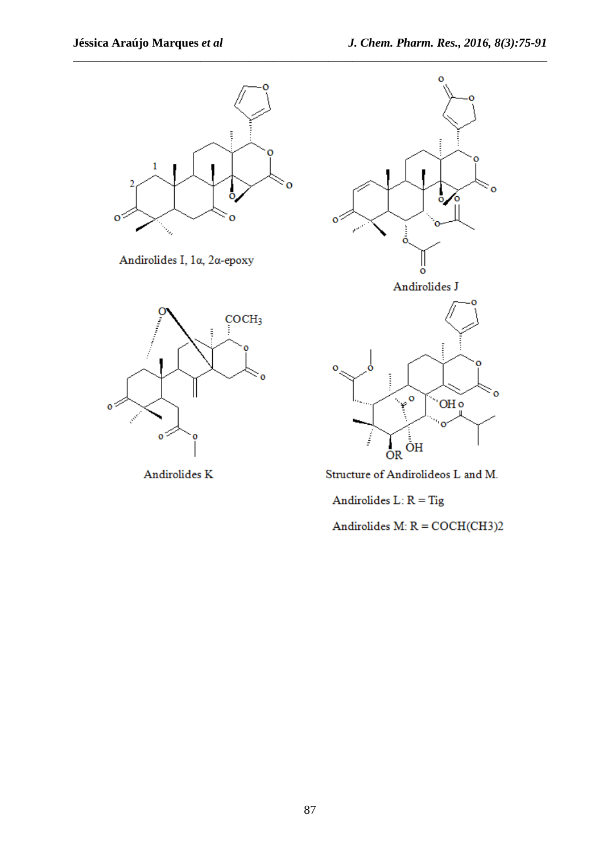

Andirolides I, 1α, 2α-epoxy



Andirolides K



Structure of Andirolideos L and M.

Andirolides  $L\colon R = Tig$ 

Andirolides  $M: R = COCH(CH3)2$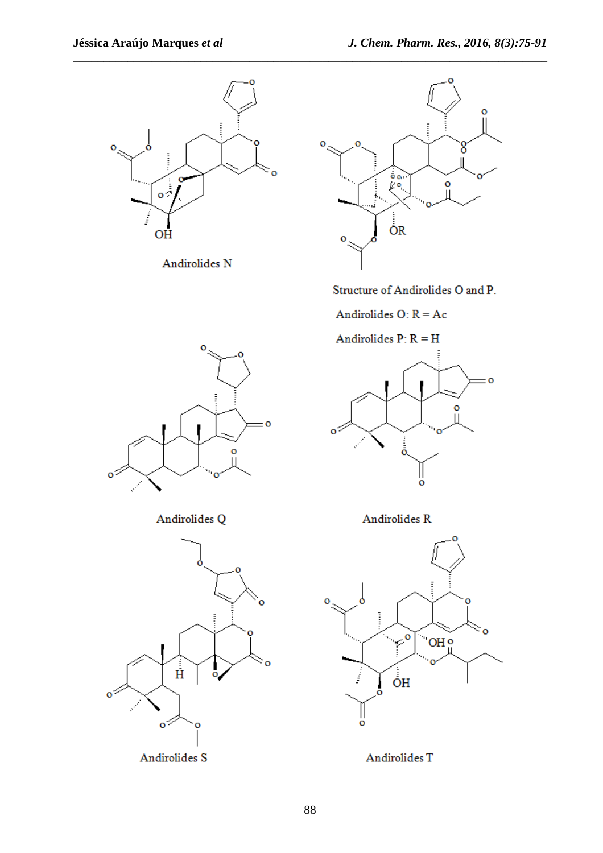





Structure of Andirolides O and P.

Andirolides  $O: R = Ac$ 

Andirolides  $P: R = H$ 



Andirolides Q





Andirolides R



Andirolides T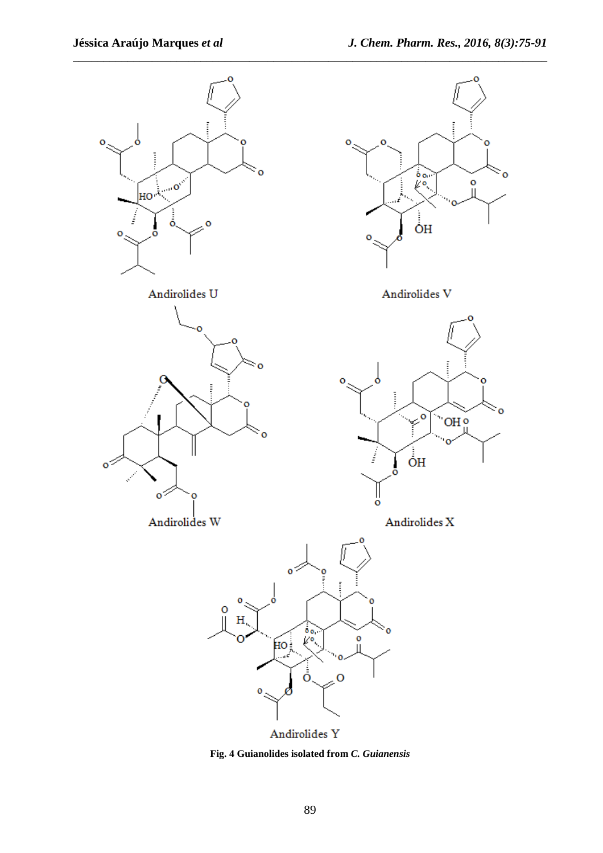

**Fig. 4 Guianolides isolated from** *C. Guianensis*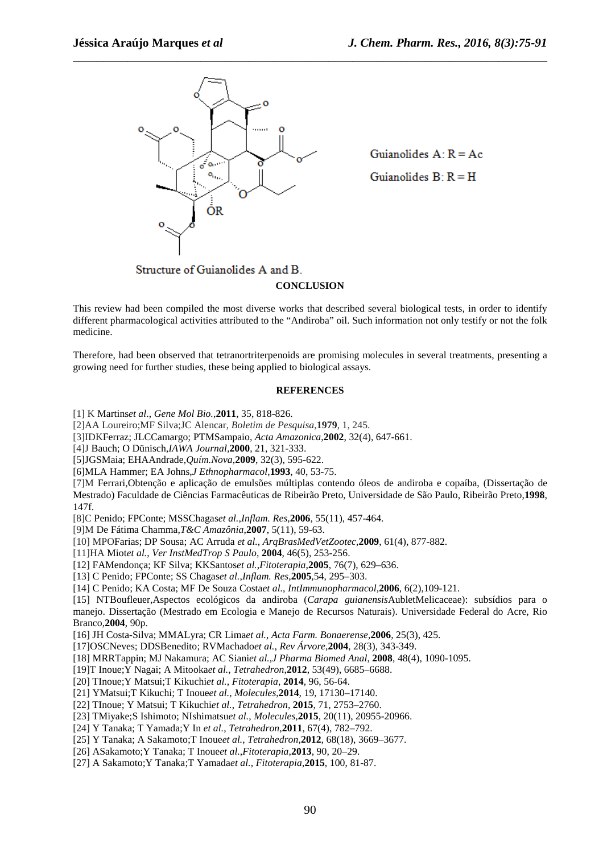

**CONCLUSION** 

\_\_\_\_\_\_\_\_\_\_\_\_\_\_\_\_\_\_\_\_\_\_\_\_\_\_\_\_\_\_\_\_\_\_\_\_\_\_\_\_\_\_\_\_\_\_\_\_\_\_\_\_\_\_\_\_\_\_\_\_\_\_\_\_\_\_\_\_\_\_\_\_\_\_\_\_\_\_

This review had been compiled the most diverse works that described several biological tests, in order to identify different pharmacological activities attributed to the "Andiroba" oil. Such information not only testify or not the folk medicine.

Therefore, had been observed that tetranortriterpenoids are promising molecules in several treatments, presenting a growing need for further studies, these being applied to biological assays.

#### **REFERENCES**

[1] K Martins*et al*., *Gene Mol Bio.*,**2011**, 35, 818-826.

[2]AA Loureiro;MF Silva;JC Alencar, *Boletim de Pesquisa*,**1979**, 1, 245.

[3]IDKFerraz; JLCCamargo; PTMSampaio, *Acta Amazonica*,**2002**, 32(4), 647-661.

[4]J Bauch; O Dünisch,*IAWA Journal*,**2000**, 21, 321-333.

[5]JGSMaia; EHAAndrade,*Quím.Nova*,**2009**, 32(3), 595-622.

[6]MLA Hammer; EA Johns,*J Ethnopharmacol*,**1993**, 40, 53-75.

[7]M Ferrari,Obtenção e aplicação de emulsões múltiplas contendo óleos de andiroba e copaíba, (Dissertação de Mestrado) Faculdade de Ciências Farmacêuticas de Ribeirão Preto, Universidade de São Paulo, Ribeirão Preto,**1998**, 147f.

[8]C Penido; FPConte; MSSChagas*et al.,Inflam. Res*,**2006**, 55(11), 457-464.

[9]M De Fátima Chamma,*T&C Amazônia*,**2007**, 5(11), 59-63.

[10] MPOFarias; DP Sousa; AC Arruda *et al.*, *ArqBrasMedVetZootec*,**2009**, 61(4), 877-882.

[11]HA Miot*et al.*, *Ver InstMedTrop S Paulo*, **2004**, 46(5), 253-256.

[12] FAMendonça; KF Silva; KKSantos*et al.*,*Fitoterapia*,**2005**, 76(7), 629–636.

[13] C Penido; FPConte; SS Chagas*et al.*,*Inflam. Res*,**2005***,*54, 295–303.

[14] C Penido; KA Costa; MF De Souza Costa*et al.*, *IntImmunopharmacol*,**2006**, 6(2),109-121.

[15] NTBoufleuer,Aspectos ecológicos da andiroba (*Carapa guianensis*AubletMelicaceae): subsídios para o manejo. Dissertação (Mestrado em Ecologia e Manejo de Recursos Naturais). Universidade Federal do Acre, Rio Branco,**2004**, 90p.

[16] JH Costa-Silva; MMALyra; CR Lima*et al.*, *Acta Farm. Bonaerense*,**2006**, 25(3), 425.

[17]OSCNeves; DDSBenedito; RVMachado*et al.*, *Rev Árvore*,**2004**, 28(3), 343-349.

[18] MRRTappin; MJ Nakamura; AC Siani*et al.*,*J Pharma Biomed Anal*, **2008**, 48(4), 1090-1095.

[19]T Inoue;Y Nagai; A Mitooka*et al.*, *Tetrahedron*,**2012**, 53(49), 6685–6688.

[20] TInoue;Y Matsui;T Kikuchi*et al.*, *Fitoterapia*, **2014**, 96, 56-64.

[21] YMatsui;T Kikuchi; T Inoue*et al.*, *Molecules*,**2014**, 19, 17130–17140.

[22] TInoue; Y Matsui; T Kikuchi*et al.*, *Tetrahedron*, **2015**, 71, 2753–2760.

[23] TMiyake;S Ishimoto; NIshimatsu*et al.*, *Molecules*,**2015**, 20(11), 20955-20966.

[24] Y Tanaka; T Yamada;Y In *et al.*, *Tetrahedron*,**2011**, 67(4), 782–792.

[25] Y Tanaka; A Sakamoto;T Inoue*et al.*, *Tetrahedron*,**2012**, 68(18), 3669–3677.

[26] ASakamoto;Y Tanaka; T Inoue*et al.*,*Fitoterapia*,**2013**, 90, 20–29.

[27] A Sakamoto;Y Tanaka;T Yamada*et al.*, *Fitoterapia*,**2015**, 100, 81-87.